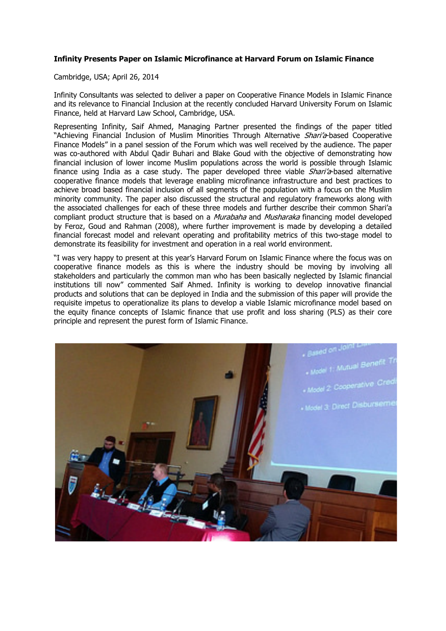## **Infinity Presents Paper on Islamic Microfinance at Harvard Forum on Islamic Finance**

Cambridge, USA; April 26, 2014

Infinity Consultants was selected to deliver a paper on Cooperative Finance Models in Islamic Finance and its relevance to Financial Inclusion at the recently concluded Harvard University Forum on Islamic Finance, held at Harvard Law School, Cambridge, USA.

Representing Infinity, Saif Ahmed, Managing Partner presented the findings of the paper titled "Achieving Financial Inclusion of Muslim Minorities Through Alternative *Shari'a*-based Cooperative Finance Models" in a panel session of the Forum which was well received by the audience. The paper was co-authored with Abdul Qadir Buhari and Blake Goud with the objective of demonstrating how financial inclusion of lower income Muslim populations across the world is possible through Islamic finance using India as a case study. The paper developed three viable *Shari'a*-based alternative cooperative finance models that leverage enabling microfinance infrastructure and best practices to achieve broad based financial inclusion of all segments of the population with a focus on the Muslim minority community. The paper also discussed the structural and regulatory frameworks along with the associated challenges for each of these three models and further describe their common Shari'a compliant product structure that is based on a *Murabaha* and *Musharaka* financing model developed by Feroz, Goud and Rahman (2008), where further improvement is made by developing a detailed financial forecast model and relevant operating and profitability metrics of this two-stage model to demonstrate its feasibility for investment and operation in a real world environment.

"I was very happy to present at this year's Harvard Forum on Islamic Finance where the focus was on cooperative finance models as this is where the industry should be moving by involving all stakeholders and particularly the common man who has been basically neglected by Islamic financial institutions till now" commented Saif Ahmed. Infinity is working to develop innovative financial products and solutions that can be deployed in India and the submission of this paper will provide the requisite impetus to operationalize its plans to develop a viable Islamic microfinance model based on the equity finance concepts of Islamic finance that use profit and loss sharing (PLS) as their core principle and represent the purest form of Islamic Finance.